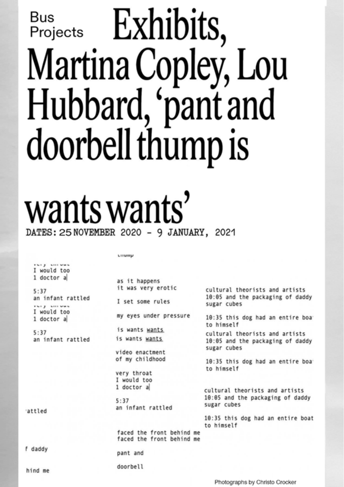## Martina Copley, Lou Hubbard, 'pant and nabbara, par<br>loorbell thum doorbell thump Bus **Exhibits**,

## **Wants Wants'**<br>DATES: 25 NOVEMBER 2020 - 9 JANUARY. 2021

**COMPA** 

would too<br>
doctor a<br>
:37 it was very erotic<br>
it was very erotic<br>
it was very erotic<br>
19:05 and the pa<br>
would too<br>
would too<br>
doctor a<br>
my eyes under pressure<br>
19:35 this dog h<br>
19:35 this dog h<br>
19:35 this dog h<br>
19:35 thi **DESCRIPTION CONSUMING ASSESSMENT CONSUMING A**  $5:37$ 

They allowed

an infant rattled

is wants wants

video enactment of my childhood

very throat I would too 1 doctor a

pant and doorbell

 $5:37$ an infant rattled

faced the front behind me faced the front behind me

cultural theorists and artists 10:05 and the packaging of daddy sugar cubes

10:35 this dog had an entire boa to himself

cultural theorists and artists 10:05 and the packaging of daddy sugar cubes

10:35 this dog had an entire boat to himself

attled

f daddy

hind me

Photographs by Christo Crocker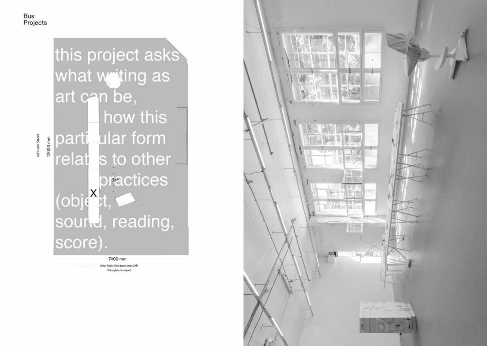Johnson Street

## this project asks what waiting as art can be, how this particular form 12000 mm relat s to other practices  $(obj<sup>X</sup>, t)$ sourted, reading, score).

7400 mm

New Main Entrance into CAP (Through to Courtyard)

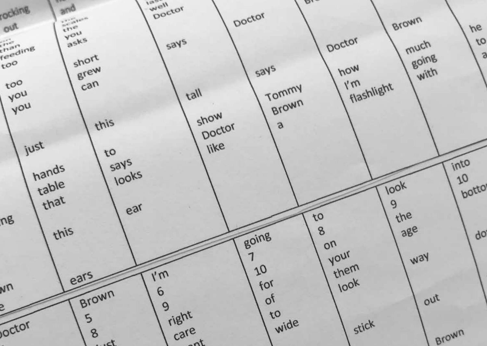rocking and well to be re-**WALLET**  $100 - 1$  $D_{1}$ Doctor Catalogue Bus Projects ine. he  $\frac{1}{\sqrt{25}}$  $\Gamma$  $\frac{w}{\text{mean}}$  renovation  $\frac{v}{\text{max}}$ **vo**  $\mu_{\rm oc}$  /  $\mu_{\rm oc}$ .  $\frac{1}{\sqrt{1-\frac{1}{\sqrt{1-\frac{1}{\sqrt{1-\frac{1}{\sqrt{1-\frac{1}{\sqrt{1-\frac{1}{\sqrt{1-\frac{1}{\sqrt{1-\frac{1}{\sqrt{1-\frac{1}{\sqrt{1-\frac{1}{\sqrt{1-\frac{1}{\sqrt{1-\frac{1}{\sqrt{1-\frac{1}{\sqrt{1-\frac{1}{\sqrt{1-\frac{1}{\sqrt{1-\frac{1}{\sqrt{1-\frac{1}{\sqrt{1-\frac{1}{\sqrt{1-\frac{1}{\sqrt{1-\frac{1}{\sqrt{1-\frac{1}{\sqrt{1-\frac{1}{\sqrt{1-\frac{1}{\sqrt{1-\frac{1}{\sqrt{1-\frac{1$  $\overline{\mathbf{a}}$  $\frac{1}{\sinh^2}$  $\int$  shore  $savs$  $t_{\text{max}}$  is dating the switch  $\log n$  $h_{\text{off}}$  and Figure  $\sim$  $\frac{1}{2}$  is evident in the number of  $\frac{1}{2}$  $\begin{bmatrix} 1 & 1 \\ 1 & 1 \end{bmatrix}$  can  $\begin{bmatrix} 1 & 1 \\ 1 & 1 \end{bmatrix}$  $\frac{1}{2}$ Tommy  $\frac{1}{2}$  children are dying. Brown  $\frac{1}{\sqrt{u}}$  $\frac{1}{\sqrt{2}}$  $\mathcal{N}$  the top of it and they can put they can put they can put they can put they can put their hands out and they can put their hands out and they can put they can put they can put they can put their hands out and  $\mathcal$ are and the stories that are embedded in the stories that are embedded into the stories of  $\mathcal{A}$ sometimes they get food, sometimes they get  $\mathcal{A}$  $\frac{1}{\sqrt{2}}$  $\mathbf{b}$  $\mathbf{a}$  $\int f h v$ every body. Sometimes they get been  $\mathcal{A}$ Collingwood Yards. When you open the right side windows  $\mathcal{A}$  in the  $\mathcal{A}$ like  $i$ ust  $j_{\rm so}$  $\frac{1}{\sqrt{2}}$  $\sqrt{t}$  $\frac{1}{\sqrt{2}}$ hands  $\sqrt{2}$  $\lim_{x \to 0}$ table  $\sqrt{1}$  $\frac{1}{100}$  which in the  $\frac{1}{100}$  $100<sup>k</sup>$ that  $\sim$  1. ear  $\sim$  19  $\frac{1}{2}$  the ng historically erased Indigenous people, Moorina will instead  $\ln v$ this  $\frac{1}{2}$  only a few that keep the box. going  $q<sub>o</sub>$  $\sqrt{8v}$ he knows where the knows where the key is a set of the cone that the cone the cone that the cone that put the <br>one that the cone that put the cone that put the cone that put the cone that put the cone that put the cone th<br>  $\sqrt{M}$  $\frac{1}{2}$ h  $\sqrt{v^2 + 4v^2}$ them  $70$  $\sqrt{m}$ ears  $\frac{1}{2}$  $66$ NN  $\frac{1}{100^{n}}$ Brown 6  $A_n$  $\delta$  $\int$  over 9 B. right  $\mathcal{N}$  or the white manifold because the white manifold because the white manifold because the white manifold between  $\mathcal{N}$  $\mathfrak{c}$ 5 wide  $\mathcal{A}$  box so long. poctor care Brown  $8$  $r_{c}$  $\tau$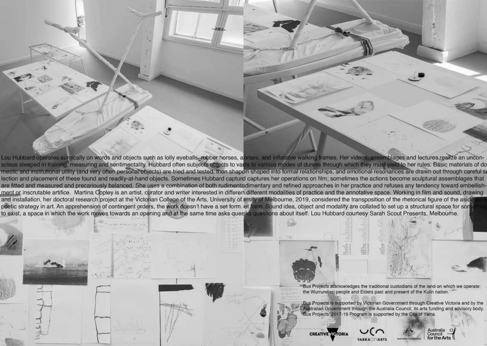urgically on words and objects such as lolly eveballs, abber horses, a orses, and inflatable walking frames. Her videos, assemblages and lectures realize and on words and objects such as lony eyeballs. Bubber horses, and ses, and inhatable waiking mariles. Her videos, assemblages and lectures realize and and the other realize and secures realize and secures realize and and secu thility (and very often personal objects) are tried and tested, then shapen shaped into formal relationships, and emotional resonances are drawn out through I these found and readily-at-hand objects. Sometimes Hubbard capture captures her operations on film; sometimes the actions become sculptural assembla and precariously balanced. She uses a combination of both rudimentadimentary and refined approaches in her practice and refuses any tendency toward and the annotative space. Working in him and so<br>idered the transposition of the rhetorical figure of poetic strategy in art. An apprehension of contingent orders, the work doesn't have a set form, et form. Sound idea, object and modality are collated to set up a structural space for son apprenension or comingent proefs, the work doesn't have a set form. In form, Sound foea, object and modality are collated to set<br>h the work moves towards an opening and at the same time asks quesks questions about itself. ment or inscrutable artifice. Martina Copley is an artist, curator and writer interested in different different modalities of practice and the annotative space. Working in film and sound, drawing for all research project at the Victorian College of the Art and unlock that the right one and unlock that the



 $t$  and calling for  $\mathcal{L}$  for  $\mathcal{L}$ 

 $H = \frac{1}{2}$  weapons he invents himself but usually be invention of  $H = \frac{1}{2}$ they're in the shape of money. And there's a little hole in the top of the box where  $\mathcal{L}$  $t > t$  money drops in the people reach up the people reach up the people reach up the people reach up the people reach up the people reach up the people reach up the people reach up the people reach up the people reach up  $t$  catch it. The light coming in with the light coming in  $\mathcal{C}$ money. Bus every time they reach up it slips out of their  $g_{\rm c}$  and it falls the bottom of the bottom of the bottom of the bottom of the bottom of the bottom of the bottom of the bottom of the bottom of the bottom of the bottom of the bottom of the bottom of the bottom of the  $t_{\rm eff}$  the box. The white man knows the box.  $\mathcal{S}$  the money through and no one can be the money through and no one can be the money through and no one can be the money of  $\mathcal{S}$ 

 $\mathcal{A}$ 

 $t$  is a set the line of the line  $\mathcal{L}$  $p = \frac{1}{2}$ and tries to chop off their fingers. And the people inside are a fraid to take the hand in case the hand in case the hand in case the hand in case the  $\sim$ 

some weapon against them.

(Hyllus Maris)

 $\geq$ 



Bus Projects acknowledges the traditional custodians of the land on which we operate: the Wurrundjeri people and Elders past and present of the Kulin nation.

Moore is a property in the second state of the second state of the second state of the second state of the second W WOO WOMAN. SHE is described from the interest of the second from the second from the second from the second f  $\Box$ Yorta) and is part of the Briggs/McCrae family.  $M_{\rm{max}}$  is an artist whose works are informed by her experiences as an Aboriginal and Italian woman.  $\mathcal{L}$  is the creates article that examines are  $\mathcal{L}$ contemporary Indigenous histories through the use of

 $\mathcal{A}$ from RMIT University and a Bachelor of Fine Arts  $\mathbb{R}^n$  from  $\mathbb{R}^n$  the set of  $\mathbb{R}^n$ with group shows and at various galleries such at various galleries such at various galleries such at various g as Ballarat International Foto Biennale, Sydney Festival, Blak Dot Gallery, c3 Contemporary Art

installation and video.

Catalogue Bus Projects

ເ

Bus Projects is supported by Victorian Government through Creative Victoria and by the ustralian Government through the Australia Council, its arts funding and advisory body. Bus Projects' 2017-19 Program is supported by the City of Yarra.